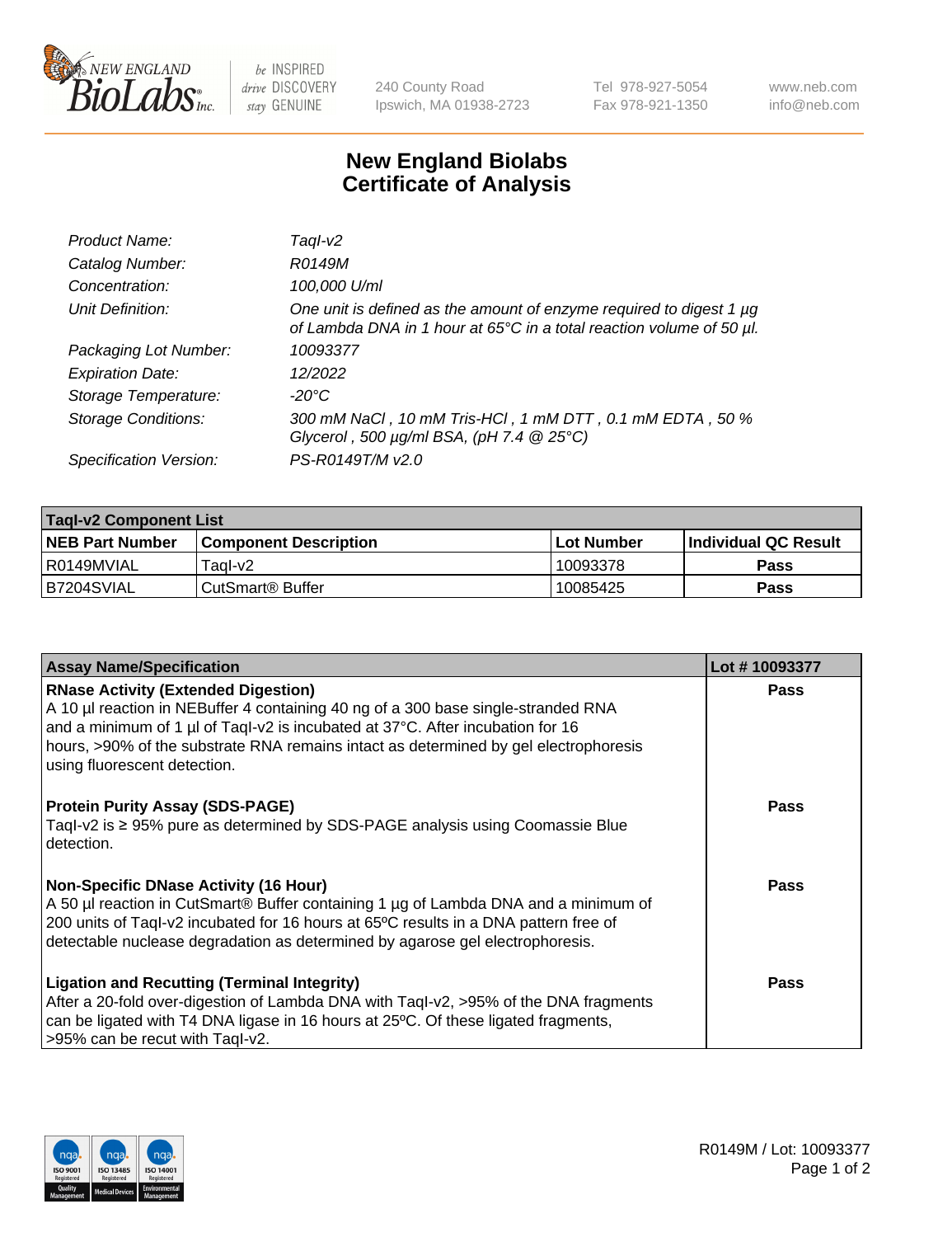

 $be$  INSPIRED drive DISCOVERY stay GENUINE

240 County Road Ipswich, MA 01938-2723 Tel 978-927-5054 Fax 978-921-1350 www.neb.com info@neb.com

## **New England Biolabs Certificate of Analysis**

| Product Name:              | Tagl-v2                                                                                                                                                    |
|----------------------------|------------------------------------------------------------------------------------------------------------------------------------------------------------|
| Catalog Number:            | R0149M                                                                                                                                                     |
| Concentration:             | 100,000 U/ml                                                                                                                                               |
| Unit Definition:           | One unit is defined as the amount of enzyme required to digest 1 µg<br>of Lambda DNA in 1 hour at 65 $\degree$ C in a total reaction volume of 50 $\mu$ l. |
| Packaging Lot Number:      | 10093377                                                                                                                                                   |
| <b>Expiration Date:</b>    | 12/2022                                                                                                                                                    |
| Storage Temperature:       | $-20^{\circ}$ C                                                                                                                                            |
| <b>Storage Conditions:</b> | 300 mM NaCl, 10 mM Tris-HCl, 1 mM DTT, 0.1 mM EDTA, 50 %<br>Glycerol, 500 $\mu$ g/ml BSA, (pH 7.4 $@25°C$ )                                                |
| Specification Version:     | PS-R0149T/M v2.0                                                                                                                                           |

| <b>Tagl-v2 Component List</b> |                              |             |                             |  |  |
|-------------------------------|------------------------------|-------------|-----------------------------|--|--|
| <b>NEB Part Number</b>        | <b>Component Description</b> | ⊺Lot Number | <b>Individual QC Result</b> |  |  |
| l R0149MVIAL                  | Tagl-v2                      | 10093378    | Pass                        |  |  |
| IB7204SVIAL                   | CutSmart® Buffer             | 10085425    | <b>Pass</b>                 |  |  |

| <b>Assay Name/Specification</b>                                                                                                                                                                                                                                                                                                           | Lot #10093377 |
|-------------------------------------------------------------------------------------------------------------------------------------------------------------------------------------------------------------------------------------------------------------------------------------------------------------------------------------------|---------------|
| <b>RNase Activity (Extended Digestion)</b><br>A 10 µl reaction in NEBuffer 4 containing 40 ng of a 300 base single-stranded RNA<br>and a minimum of 1 µl of Taql-v2 is incubated at 37°C. After incubation for 16<br>hours, >90% of the substrate RNA remains intact as determined by gel electrophoresis<br>using fluorescent detection. | Pass          |
| <b>Protein Purity Assay (SDS-PAGE)</b><br>Taql-v2 is $\geq$ 95% pure as determined by SDS-PAGE analysis using Coomassie Blue<br>detection.                                                                                                                                                                                                | <b>Pass</b>   |
| Non-Specific DNase Activity (16 Hour)<br>A 50 µl reaction in CutSmart® Buffer containing 1 µg of Lambda DNA and a minimum of<br>200 units of Taql-v2 incubated for 16 hours at 65°C results in a DNA pattern free of<br>detectable nuclease degradation as determined by agarose gel electrophoresis.                                     | Pass          |
| <b>Ligation and Recutting (Terminal Integrity)</b><br>After a 20-fold over-digestion of Lambda DNA with Taql-v2, >95% of the DNA fragments<br>can be ligated with T4 DNA ligase in 16 hours at 25°C. Of these ligated fragments,<br>>95% can be recut with Taql-v2.                                                                       | Pass          |